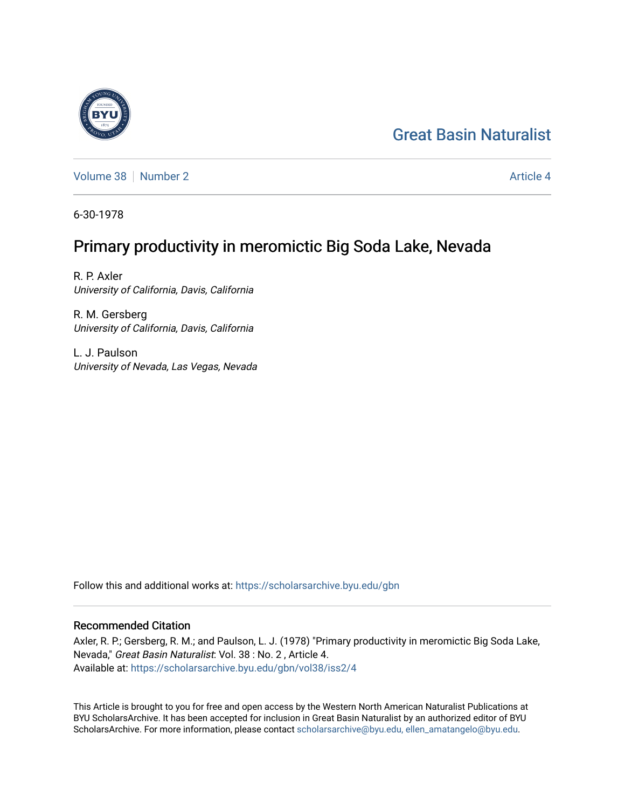# [Great Basin Naturalist](https://scholarsarchive.byu.edu/gbn)

[Volume 38](https://scholarsarchive.byu.edu/gbn/vol38) [Number 2](https://scholarsarchive.byu.edu/gbn/vol38/iss2) Article 4

6-30-1978

# Primary productivity in meromictic Big Soda Lake, Nevada

R. P. Axler University of California, Davis, California

R. M. Gersberg University of California, Davis, California

L. J. Paulson University of Nevada, Las Vegas, Nevada

Follow this and additional works at: [https://scholarsarchive.byu.edu/gbn](https://scholarsarchive.byu.edu/gbn?utm_source=scholarsarchive.byu.edu%2Fgbn%2Fvol38%2Fiss2%2F4&utm_medium=PDF&utm_campaign=PDFCoverPages) 

## Recommended Citation

Axler, R. P.; Gersberg, R. M.; and Paulson, L. J. (1978) "Primary productivity in meromictic Big Soda Lake, Nevada," Great Basin Naturalist: Vol. 38 : No. 2 , Article 4. Available at: [https://scholarsarchive.byu.edu/gbn/vol38/iss2/4](https://scholarsarchive.byu.edu/gbn/vol38/iss2/4?utm_source=scholarsarchive.byu.edu%2Fgbn%2Fvol38%2Fiss2%2F4&utm_medium=PDF&utm_campaign=PDFCoverPages)

This Article is brought to you for free and open access by the Western North American Naturalist Publications at BYU ScholarsArchive. It has been accepted for inclusion in Great Basin Naturalist by an authorized editor of BYU ScholarsArchive. For more information, please contact [scholarsarchive@byu.edu, ellen\\_amatangelo@byu.edu.](mailto:scholarsarchive@byu.edu,%20ellen_amatangelo@byu.edu)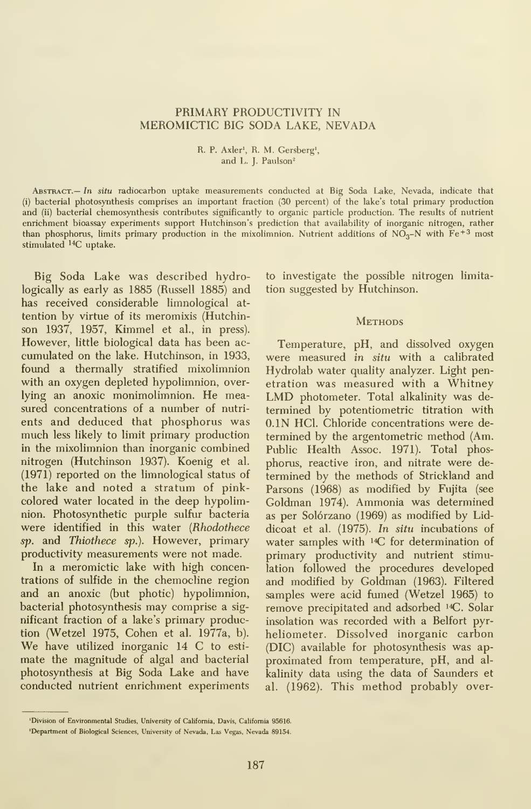### PRIMARY PRODUCTIVITY IN MEROMICTIC BIG SODA LAKE, NEVADA

#### R. P. Axler', R. M. Gersberg', and L. J. Paulson<sup>2</sup>

Abstract.— In situ radiocarbon uptake measurements conducted at Big Soda Lake, Nevada, indicate that (i) bacterial photosynthesis comprises an important fraction (30 percent) of the lake's total primary production and (ii) bacterial chemosynthesis contributes significantly to organic particle production. The results of nutrient enrichment bioassay experiments support Hutchinson's prediction that availability of inorganic nitrogen, rather than phosphorus, limits primary production in the mixolimnion. Nutrient additions of  $N\tilde{O}_3-N$  with  $Fe^{+3}$  most stimulated  $^{14}C$  uptake.

Big Soda Lake was described hydrologically as early as 1885 (Russell 1885) and has received considerable limnological at tention by virtue of its meromixis (Hutchinson 1937, 1957, Kimmel et al., in press). However, little biological data has been ac cumulated on the lake. Hutchinson, in 1933, found a thermally stratified mixolimnion with an oxygen depleted hypolimnion, overlying an anoxic monimolimnion. He measured concentrations of a number of nutri ents and deduced that phosphorus was much less likely to limit primary production in the mixolimnion than inorganic combined nitrogen (Hutchinson 1937). Koenig et al. (1971) reported on the limnological status of the lake and noted a stratum of pinkcolored water located in the deep hypolimnion. Photosynthetic purple sulfur bacteria were identified in this water (Rhodothece sp. and Thiothece sp.). However, primary productivity measurements were not made.

In a meromictic lake with high concentrations of sulfide in the chemocline region and an anoxic (but photic) hypolimnion, bacterial photosynthesis may comprise a sig nificant fraction of a lake's primary production (Wetzel 1975, Cohen et al. 1977a, b). We have utilized inorganic <sup>14</sup> C to esti mate the magnitude of algal and bacterial photosynthesis at Big Soda Lake and have conducted nutrient enrichment experiments to investigate the possible nitrogen limita tion suggested by Hutchinson.

#### **METHODS**

Temperature, pH, and dissolved oxygen were measured in situ with a calibrated Hydrolab water quality analyzer. Light penetration was measured with a Whitney LMD photometer. Total alkalinity was de termined by potentiometric titration with O.IN HCl. Chloride concentrations were de termined by the argentometric method (Am. Public Health Assoc. 1971). Total phosphorus, reactive iron, and nitrate were de termined by the methods of Strickland and Parsons (1968) as modified by Fujita (see Goldman 1974). Ammonia was determined as per Solórzano (1969) as modified by Liddicoat et al. (1975). In situ incubations of water samples with  $^{14}C$  for determination of primary productivity and nutrient stimulation followed the procedures developed and modified by Goldman (1963). Filtered samples were acid fumed (Wetzel 1965) to remove precipitated and adsorbed <sup>14</sup>C. Solar insolation was recorded with a Belfort pyr heliometer. Dissolved inorganic carbon (DIG) available for photosynthesis was ap proximated from temperature, pH, and al kalinity data using the data of Saunders et al. (1962). This method probably over-

<sup>&#</sup>x27;Division of Environmental Studies, University of California, Davis, California 95616.

<sup>&#</sup>x27;Department of Biological Sciences, University of Nevada, Las Vegas, Nevada 89154.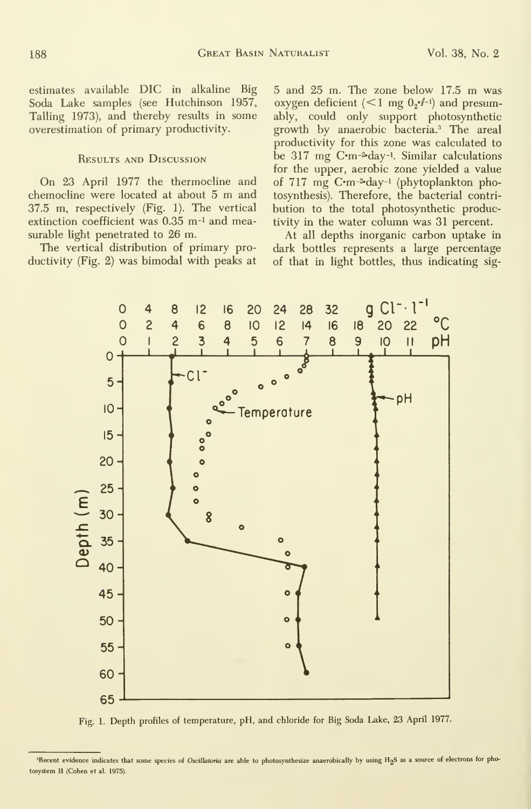estimates available DIG in alkaline Big Soda Lake samples (see Hutchinson 1957, Tailing 1973), and thereby results in some overestimation of primary productivity.

### Results and Discussion

On 23 April 1977 the thermocline and chemocline were located at about <sup>5</sup> m and 37.5 m, respectively (Fig. 1). The vertical extinction coefficient was 0.35 m<sup>-1</sup> and measurable light penetrated to 26 m.

The vertical distribution of primary productivity (Fig. 2) was bimodal with peaks at

4

8

0

<sup>5</sup> and <sup>25</sup> m. The zone below 17.5 m was oxygen deficient ( $\leq 1$  mg  $0_2 \cdot f^{-1}$ ) and presumably, could only support photosynthetic growth by anaerobic bacteria.<sup>3</sup> The areal productivity for this zone was calculated to be 317 mg C·m-2-day-1. Similar calculations for the upper, aerobic zone yielded a value of 717 mg C·m-2·day-1 (phytoplankton photosynthesis). Therefore, the bacterial contri bution to the total photosynthetic productivity in the water column was 31 percent.

At all depths inorganic carbon uptake in dark bottles represents a large percentage of that in light bottles, thus indicating sig-

-I



Fig. 1. Depth profiles of temperature, pH, and chloride for Big Soda Lake, 23 April 1977.

<sup>&</sup>lt;sup>3</sup>Recent evidence indicates that some species of Oscillatoria are able to photosynthesize anaerobically by using H<sub>2</sub>S as a source of electrons for photosystem II (Cohen et al. 1975).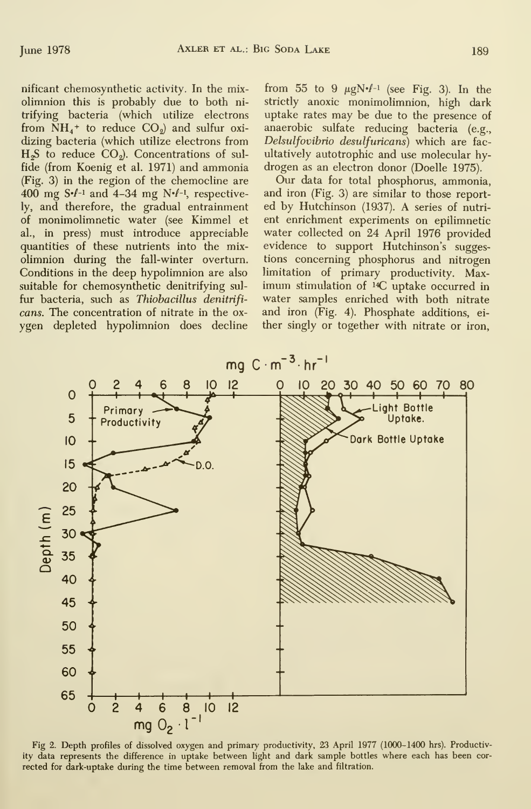nificant chemosynthetic activity. In the mixolimnion this is probably due to both ni trifying bacteria (which utilize electrons from  $NH_4$ <sup>+</sup> to reduce  $CO_2$ ) and sulfur oxidizing bacteria (which utilize electrons from  $H<sub>2</sub>S$  to reduce  $CO<sub>2</sub>$ ). Concentrations of sulfide (from Koenig et al. 1971) and ammonia (Fig. 3) in the region of the chemocline are 400 mg  $S·l$ <sup>-1</sup> and 4-34 mg  $N·l$ <sup>-1</sup>, respectively, and therefore, the gradual entrainment of monimolimnetic water (see Kimmel et al., in press) must introduce appreciable quantities of these nutrients into the mixolimnion during the fall-winter overturn. Conditions in the deep hypolimnion are also suitable for chemosynthetic denitrifying sul fur bacteria, such as Thiobacillus denitrifi cans. The concentration of nitrate in the ox ygen depleted hypolimnion does decline

from 55 to 9  $\mu$ gN $\cdot$  $\ell$ <sup>-1</sup> (see Fig. 3). In the strictly anoxic monimolimnion, high dark uptake rates may be due to the presence of anaerobic sulfate reducing bacteria (e.g., Delsulfovibrio desulfuricans) which are fac ultatively autotrophic and use molecular hydrogen as an electron donor (Doelle 1975).

Our data for total phosphorus, ammonia, and iron (Fig. 3) are similar to those reported by Hutchinson (1937). A series of nutri ent enrichment experiments on epilimnetic water collected on 24 April 1976 provided evidence to support Hutchinson's suggestions concerning phosphorus and nitrogen limitation of primary productivity. Maximum stimulation of  $^{14}C$  uptake occurred in water samples enriched with both nitrate and iron (Fig. 4). Phosphate additions, ei ther singly or together with nitrate or iron.



Fig 2. Depth profiles of dissolved oxygen and primary productivity, 23 April 1977 (1000-1400 hrs). Productivity data represents the difference in uptake between light and dark sample bottles where each has been cor rected for dark-uptake during the time between removal from the lake and filtration.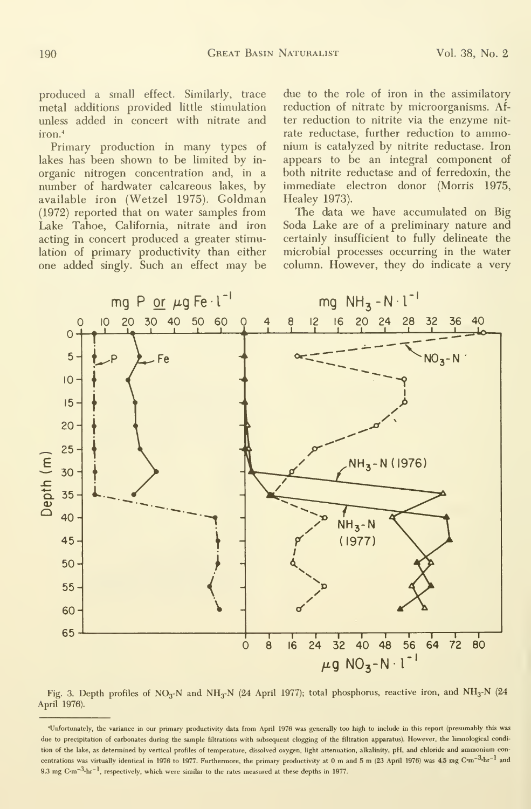produced a small effect. Similarly, trace metal additions provided little stimulation unless added in concert with nitrate and iron.<sup>4</sup>

Primary production in many types of lakes has been shown to be limited by in organic nitrogen concentration and, in a number of hardwater calcareous lakes, by available iron (Wetzel 1975). Goldman (1972) reported that on water samples from Lake Tahoe, Galifornia, nitrate and iron acting in concert produced a greater stimulation of primary productivity than either one added singly. Such an effect may be

due to the role of iron in the assimilatory reduction of nitrate by microorganisms. After reduction to nitrite via the enzyme nit rate reductase, further reduction to ammonium is catalyzed by nitrite reductase. Iron appears to be an integral component of both nitrite reductase and of ferredoxin, the immediate electron donor (Morris 1975, Healey 1973).

The data we have accumulated on Big Soda Lake are of a preliminary nature and certainly insufficient to fully delineate the microbial processes occurring in the water column. However, they do indicate a very



Fig. 3. Depth profiles of NO<sub>3</sub>-N and NH<sub>3</sub>-N (24 April 1977); total phosphorus, reactive iron, and NH<sub>3</sub>-N (24 April 1976).

<sup>&#</sup>x27;Unfortunately, the variance in our primary productivity data from April 1976 was generally too high to include in this report (presumably this was due to precipitation of carbonates during the sample filtrations with subsequent clogging of the filtration apparatus). However, the limnological condition of the lake, as determined by vertical profiles of temperature, dissolved oxygen, light attenuation, alkalinity, pH, and chloride and ammonium concentrations was virtually identical in 1976 to 1977. Furthermore, the primary productivity at 0 m and 5 m (23 April 1976) was 4.5 mg C-m $^{-3}$ hr $^{-1}$  and 9.3 mg C·m<sup>-3</sup>·hr<sup>-1</sup>, respectively, which were similar to the rates measured at these depths in 1977.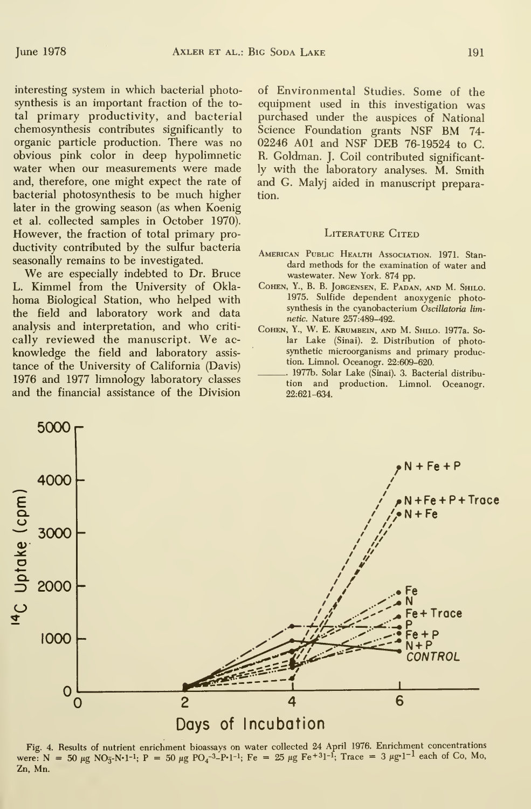interesting system in which bacterial photosynthesis is an important fraction of the total primary productivity, and bacterial chemosynthesis contributes significantly to organic particle production. There was no obvious pink color in deep hypolimnetic water when our measurements were made and, therefore, one might expect the rate of bacterial photosynthesis to be much higher later in the growing season (as when Koenig et al. collected samples in October 1970). However, the fraction of total primary productivity contributed by the sulfur bacteria seasonally remains to be investigated.

We are especially indebted to Dr. Bruce L. Kimmel from the University of Oklahoma Biological Station, who helped with the field and laboratory work and data analysis and interpretation, and who criti cally reviewed the manuscript. We ac knowledge the field and laboratory assis tance of the University of California (Davis) 1976 and 1977 limnology laboratory classes and the financial assistance of the Division of Environmental Studies. Some of the equipment used in this investigation was purchased under the auspices of National Science Foundation grants NSF BM 74- 02246 AOl and NSF DEB 76-19524 to C. R. Goldman. J. Coil contributed significantly with the laboratory analyses. M. Smith and G. Malyj aided in manuscript preparation.

#### LITERATURE CITED

- American Public Health Association. 1971. Stan dard methods for the examination of water and wastewater. New York. <sup>874</sup> pp.
- Cohen, Y., B. B. Jorgensen, E. Padan, and M. Shilo. 1975. Sulfide dependent anoxygenic photosynthesis in the cyanobacterium Oscillatoria limnetic. Nature 257:489-492.
- Cohen, Y., W. E. Krumbein, and M. Shilo. 1977a. Solar Lake (Sinai). 2. Distribution of photosynthetic microorganisms and primary production. Limnol. Oceanogr. 22:609-620.
- 1977b. Solar Lake (Sinai). 3. Bacterial distribu tion and production. Limnol. Oceanogr. 22:621-634.



Fig. 4. Results of nutrient enrichment bioassays on water collected 24 April 1976. Enrichment concentrations were:  $N = 50 \mu g NO_3-N-1$ ;  $P = 50 \mu g PO_4^{-3} - P-1$ ; Fe = 25  $\mu g F e^{+3} - 1$ ; Trace = 3  $\mu g^{-1}$  each of Co, Mo, Zn, Mn.